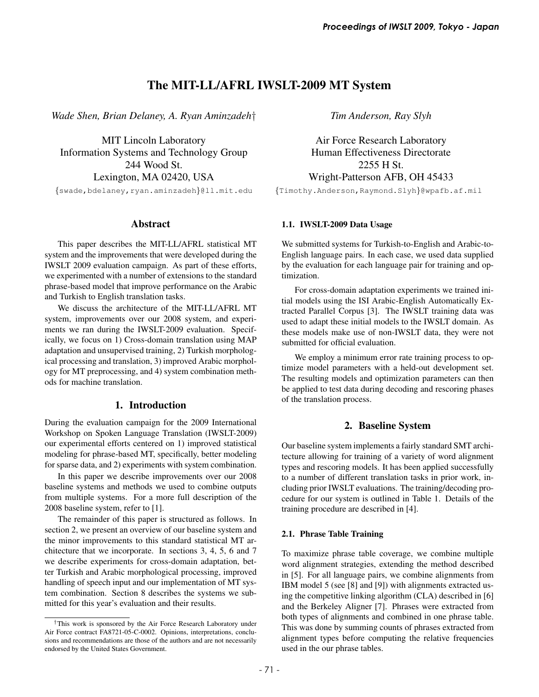# The MIT-LL/AFRL IWSLT-2009 MT System

*Wade Shen, Brian Delaney, A. Ryan Aminzadeh*†

MIT Lincoln Laboratory Information Systems and Technology Group 244 Wood St. Lexington, MA 02420, USA

{swade,bdelaney,ryan.aminzadeh}@ll.mit.edu

# Abstract

This paper describes the MIT-LL/AFRL statistical MT system and the improvements that were developed during the IWSLT 2009 evaluation campaign. As part of these efforts, we experimented with a number of extensions to the standard phrase-based model that improve performance on the Arabic and Turkish to English translation tasks.

We discuss the architecture of the MIT-LL/AFRL MT system, improvements over our 2008 system, and experiments we ran during the IWSLT-2009 evaluation. Specifically, we focus on 1) Cross-domain translation using MAP adaptation and unsupervised training, 2) Turkish morphological processing and translation, 3) improved Arabic morphology for MT preprocessing, and 4) system combination methods for machine translation.

# 1. Introduction

During the evaluation campaign for the 2009 International Workshop on Spoken Language Translation (IWSLT-2009) our experimental efforts centered on 1) improved statistical modeling for phrase-based MT, specifically, better modeling for sparse data, and 2) experiments with system combination.

In this paper we describe improvements over our 2008 baseline systems and methods we used to combine outputs from multiple systems. For a more full description of the 2008 baseline system, refer to [1].

The remainder of this paper is structured as follows. In section 2, we present an overview of our baseline system and the minor improvements to this standard statistical MT architecture that we incorporate. In sections 3, 4, 5, 6 and 7 we describe experiments for cross-domain adaptation, better Turkish and Arabic morphological processing, improved handling of speech input and our implementation of MT system combination. Section 8 describes the systems we submitted for this year's evaluation and their results.

*Tim Anderson, Ray Slyh*

Air Force Research Laboratory Human Effectiveness Directorate 2255 H St. Wright-Patterson AFB, OH 45433

{Timothy.Anderson,Raymond.Slyh}@wpafb.af.mil

# 1.1. IWSLT-2009 Data Usage

We submitted systems for Turkish-to-English and Arabic-to-English language pairs. In each case, we used data supplied by the evaluation for each language pair for training and optimization.

For cross-domain adaptation experiments we trained initial models using the ISI Arabic-English Automatically Extracted Parallel Corpus [3]. The IWSLT training data was used to adapt these initial models to the IWSLT domain. As these models make use of non-IWSLT data, they were not submitted for official evaluation.

We employ a minimum error rate training process to optimize model parameters with a held-out development set. The resulting models and optimization parameters can then be applied to test data during decoding and rescoring phases of the translation process.

# 2. Baseline System

Our baseline system implements a fairly standard SMT architecture allowing for training of a variety of word alignment types and rescoring models. It has been applied successfully to a number of different translation tasks in prior work, including prior IWSLT evaluations. The training/decoding procedure for our system is outlined in Table 1. Details of the training procedure are described in [4].

# 2.1. Phrase Table Training

To maximize phrase table coverage, we combine multiple word alignment strategies, extending the method described in [5]. For all language pairs, we combine alignments from IBM model 5 (see [8] and [9]) with alignments extracted using the competitive linking algorithm (CLA) described in [6] and the Berkeley Aligner [7]. Phrases were extracted from both types of alignments and combined in one phrase table. This was done by summing counts of phrases extracted from alignment types before computing the relative frequencies used in the our phrase tables.

<sup>†</sup>This work is sponsored by the Air Force Research Laboratory under Air Force contract FA8721-05-C-0002. Opinions, interpretations, conclusions and recommendations are those of the authors and are not necessarily endorsed by the United States Government.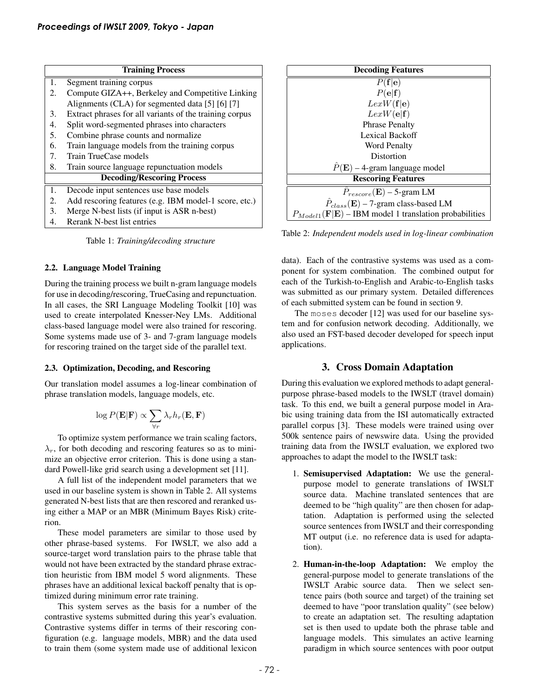| <b>Training Process</b>           |                                                         |  |
|-----------------------------------|---------------------------------------------------------|--|
| 1.                                | Segment training corpus                                 |  |
| 2.                                | Compute GIZA++, Berkeley and Competitive Linking        |  |
|                                   | Alignments (CLA) for segmented data [5] [6] [7]         |  |
| 3.                                | Extract phrases for all variants of the training corpus |  |
| 4.                                | Split word-segmented phrases into characters            |  |
| 5.                                | Combine phrase counts and normalize                     |  |
| 6.                                | Train language models from the training corpus          |  |
| 7.                                | Train TrueCase models                                   |  |
| 8.                                | Train source language repunctuation models              |  |
| <b>Decoding/Rescoring Process</b> |                                                         |  |
| 1.                                | Decode input sentences use base models                  |  |
| 2.                                | Add rescoring features (e.g. IBM model-1 score, etc.)   |  |
| 3.                                | Merge N-best lists (if input is ASR n-best)             |  |
| 4                                 | Rerank N-best list entries                              |  |

Table 1: *Training/decoding structure*

#### 2.2. Language Model Training

During the training process we built n-gram language models for use in decoding/rescoring, TrueCasing and repunctuation. In all cases, the SRI Language Modeling Toolkit [10] was used to create interpolated Knesser-Ney LMs. Additional class-based language model were also trained for rescoring. Some systems made use of 3- and 7-gram language models for rescoring trained on the target side of the parallel text.

### 2.3. Optimization, Decoding, and Rescoring

Our translation model assumes a log-linear combination of phrase translation models, language models, etc.

$$
\log P(\mathbf{E}|\mathbf{F}) \propto \sum_{\forall r} \lambda_r h_r(\mathbf{E}, \mathbf{F})
$$

To optimize system performance we train scaling factors,  $\lambda_r$ , for both decoding and rescoring features so as to minimize an objective error criterion. This is done using a standard Powell-like grid search using a development set [11].

A full list of the independent model parameters that we used in our baseline system is shown in Table 2. All systems generated N-best lists that are then rescored and reranked using either a MAP or an MBR (Minimum Bayes Risk) criterion.

These model parameters are similar to those used by other phrase-based systems. For IWSLT, we also add a source-target word translation pairs to the phrase table that would not have been extracted by the standard phrase extraction heuristic from IBM model 5 word alignments. These phrases have an additional lexical backoff penalty that is optimized during minimum error rate training.

This system serves as the basis for a number of the contrastive systems submitted during this year's evaluation. Contrastive systems differ in terms of their rescoring configuration (e.g. language models, MBR) and the data used to train them (some system made use of additional lexicon



Table 2: *Independent models used in log-linear combination*

data). Each of the contrastive systems was used as a component for system combination. The combined output for each of the Turkish-to-English and Arabic-to-English tasks was submitted as our primary system. Detailed differences of each submitted system can be found in section 9.

The moses decoder [12] was used for our baseline system and for confusion network decoding. Additionally, we also used an FST-based decoder developed for speech input applications.

### 3. Cross Domain Adaptation

During this evaluation we explored methods to adapt generalpurpose phrase-based models to the IWSLT (travel domain) task. To this end, we built a general purpose model in Arabic using training data from the ISI automatically extracted parallel corpus [3]. These models were trained using over 500k sentence pairs of newswire data. Using the provided training data from the IWSLT evaluation, we explored two approaches to adapt the model to the IWSLT task:

- 1. Semisupervised Adaptation: We use the generalpurpose model to generate translations of IWSLT source data. Machine translated sentences that are deemed to be "high quality" are then chosen for adaptation. Adaptation is performed using the selected source sentences from IWSLT and their corresponding MT output (i.e. no reference data is used for adaptation).
- 2. Human-in-the-loop Adaptation: We employ the general-purpose model to generate translations of the IWSLT Arabic source data. Then we select sentence pairs (both source and target) of the training set deemed to have "poor translation quality" (see below) to create an adaptation set. The resulting adaptation set is then used to update both the phrase table and language models. This simulates an active learning paradigm in which source sentences with poor output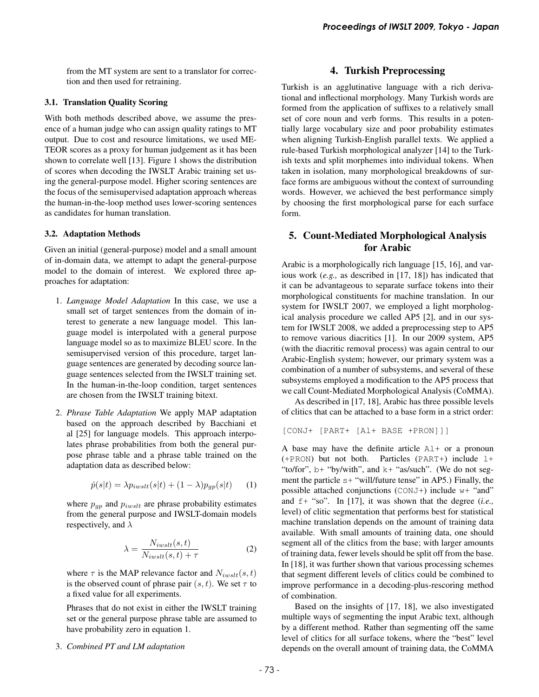from the MT system are sent to a translator for correction and then used for retraining.

### 3.1. Translation Quality Scoring

With both methods described above, we assume the presence of a human judge who can assign quality ratings to MT output. Due to cost and resource limitations, we used ME-TEOR scores as a proxy for human judgement as it has been shown to correlate well [13]. Figure 1 shows the distribution of scores when decoding the IWSLT Arabic training set using the general-purpose model. Higher scoring sentences are the focus of the semisupervised adaptation approach whereas the human-in-the-loop method uses lower-scoring sentences as candidates for human translation.

#### 3.2. Adaptation Methods

Given an initial (general-purpose) model and a small amount of in-domain data, we attempt to adapt the general-purpose model to the domain of interest. We explored three approaches for adaptation:

- 1. *Language Model Adaptation* In this case, we use a small set of target sentences from the domain of interest to generate a new language model. This language model is interpolated with a general purpose language model so as to maximize BLEU score. In the semisupervised version of this procedure, target language sentences are generated by decoding source language sentences selected from the IWSLT training set. In the human-in-the-loop condition, target sentences are chosen from the IWSLT training bitext.
- 2. *Phrase Table Adaptation* We apply MAP adaptation based on the approach described by Bacchiani et al [25] for language models. This approach interpolates phrase probabilities from both the general purpose phrase table and a phrase table trained on the adaptation data as described below:

$$
\hat{p}(s|t) = \lambda p_{i w s l t}(s|t) + (1 - \lambda) p_{g p}(s|t) \qquad (1)
$$

where  $p_{gp}$  and  $p_{i w s l t}$  are phrase probability estimates from the general purpose and IWSLT-domain models respectively, and  $\lambda$ 

$$
\lambda = \frac{N_{iwslt}(s,t)}{N_{iwslt}(s,t) + \tau}
$$
\n(2)

where  $\tau$  is the MAP relevance factor and  $N_{i w s l t}(s, t)$ is the observed count of phrase pair  $(s, t)$ . We set  $\tau$  to a fixed value for all experiments.

Phrases that do not exist in either the IWSLT training set or the general purpose phrase table are assumed to have probability zero in equation 1.

#### 3. *Combined PT and LM adaptation*

### 4. Turkish Preprocessing

Turkish is an agglutinative language with a rich derivational and inflectional morphology. Many Turkish words are formed from the application of suffixes to a relatively small set of core noun and verb forms. This results in a potentially large vocabulary size and poor probability estimates when aligning Turkish-English parallel texts. We applied a rule-based Turkish morphological analyzer [14] to the Turkish texts and split morphemes into individual tokens. When taken in isolation, many morphological breakdowns of surface forms are ambiguous without the context of surrounding words. However, we achieved the best performance simply by choosing the first morphological parse for each surface form.

# 5. Count-Mediated Morphological Analysis for Arabic

Arabic is a morphologically rich language [15, 16], and various work (*e.g.,* as described in [17, 18]) has indicated that it can be advantageous to separate surface tokens into their morphological constituents for machine translation. In our system for IWSLT 2007, we employed a light morphological analysis procedure we called AP5 [2], and in our system for IWSLT 2008, we added a preprocessing step to AP5 to remove various diacritics [1]. In our 2009 system, AP5 (with the diacritic removal process) was again central to our Arabic-English system; however, our primary system was a combination of a number of subsystems, and several of these subsystems employed a modification to the AP5 process that we call Count-Mediated Morphological Analysis (CoMMA).

As described in [17, 18], Arabic has three possible levels of clitics that can be attached to a base form in a strict order:

[CONJ+ [PART+ [Al+ BASE +PRON]]]

A base may have the definite article  $A1+$  or a pronoun  $(+$ PRON) but not both. Particles (PART+) include  $1+$ "to/for", b+ "by/with", and k+ "as/such". (We do not segment the particle  $s+$  "will/future tense" in AP5.) Finally, the possible attached conjunctions (CONJ+) include w+ "and" and f+ "so". In [17], it was shown that the degree (*i.e.,* level) of clitic segmentation that performs best for statistical machine translation depends on the amount of training data available. With small amounts of training data, one should segment all of the clitics from the base; with larger amounts of training data, fewer levels should be split off from the base. In [18], it was further shown that various processing schemes that segment different levels of clitics could be combined to improve performance in a decoding-plus-rescoring method of combination.

Based on the insights of [17, 18], we also investigated multiple ways of segmenting the input Arabic text, although by a different method. Rather than segmenting off the same level of clitics for all surface tokens, where the "best" level depends on the overall amount of training data, the CoMMA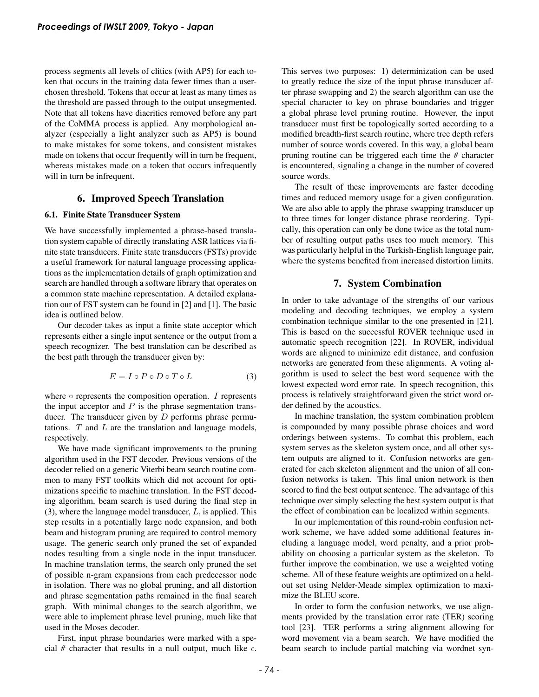process segments all levels of clitics (with AP5) for each token that occurs in the training data fewer times than a userchosen threshold. Tokens that occur at least as many times as the threshold are passed through to the output unsegmented. Note that all tokens have diacritics removed before any part of the CoMMA process is applied. Any morphological analyzer (especially a light analyzer such as AP5) is bound to make mistakes for some tokens, and consistent mistakes made on tokens that occur frequently will in turn be frequent, whereas mistakes made on a token that occurs infrequently will in turn be infrequent.

### 6. Improved Speech Translation

#### 6.1. Finite State Transducer System

We have successfully implemented a phrase-based translation system capable of directly translating ASR lattices via finite state transducers. Finite state transducers (FSTs) provide a useful framework for natural language processing applications as the implementation details of graph optimization and search are handled through a software library that operates on a common state machine representation. A detailed explanation our of FST system can be found in [2] and [1]. The basic idea is outlined below.

Our decoder takes as input a finite state acceptor which represents either a single input sentence or the output from a speech recognizer. The best translation can be described as the best path through the transducer given by:

$$
E = I \circ P \circ D \circ T \circ L \tag{3}
$$

where  $\circ$  represents the composition operation. I represents the input acceptor and  $P$  is the phrase segmentation transducer. The transducer given by  $D$  performs phrase permutations.  $T$  and  $L$  are the translation and language models, respectively.

We have made significant improvements to the pruning algorithm used in the FST decoder. Previous versions of the decoder relied on a generic Viterbi beam search routine common to many FST toolkits which did not account for optimizations specific to machine translation. In the FST decoding algorithm, beam search is used during the final step in  $(3)$ , where the language model transducer,  $L$ , is applied. This step results in a potentially large node expansion, and both beam and histogram pruning are required to control memory usage. The generic search only pruned the set of expanded nodes resulting from a single node in the input transducer. In machine translation terms, the search only pruned the set of possible n-gram expansions from each predecessor node in isolation. There was no global pruning, and all distortion and phrase segmentation paths remained in the final search graph. With minimal changes to the search algorithm, we were able to implement phrase level pruning, much like that used in the Moses decoder.

First, input phrase boundaries were marked with a special # character that results in a null output, much like  $\epsilon$ . This serves two purposes: 1) determinization can be used to greatly reduce the size of the input phrase transducer after phrase swapping and 2) the search algorithm can use the special character to key on phrase boundaries and trigger a global phrase level pruning routine. However, the input transducer must first be topologically sorted according to a modified breadth-first search routine, where tree depth refers number of source words covered. In this way, a global beam pruning routine can be triggered each time the *#* character is encountered, signaling a change in the number of covered source words.

The result of these improvements are faster decoding times and reduced memory usage for a given configuration. We are also able to apply the phrase swapping transducer up to three times for longer distance phrase reordering. Typically, this operation can only be done twice as the total number of resulting output paths uses too much memory. This was particularly helpful in the Turkish-English language pair, where the systems benefited from increased distortion limits.

### 7. System Combination

In order to take advantage of the strengths of our various modeling and decoding techniques, we employ a system combination technique similar to the one presented in [21]. This is based on the successful ROVER technique used in automatic speech recognition [22]. In ROVER, individual words are aligned to minimize edit distance, and confusion networks are generated from these alignments. A voting algorithm is used to select the best word sequence with the lowest expected word error rate. In speech recognition, this process is relatively straightforward given the strict word order defined by the acoustics.

In machine translation, the system combination problem is compounded by many possible phrase choices and word orderings between systems. To combat this problem, each system serves as the skeleton system once, and all other system outputs are aligned to it. Confusion networks are generated for each skeleton alignment and the union of all confusion networks is taken. This final union network is then scored to find the best output sentence. The advantage of this technique over simply selecting the best system output is that the effect of combination can be localized within segments.

In our implementation of this round-robin confusion network scheme, we have added some additional features including a language model, word penalty, and a prior probability on choosing a particular system as the skeleton. To further improve the combination, we use a weighted voting scheme. All of these feature weights are optimized on a heldout set using Nelder-Meade simplex optimization to maximize the BLEU score.

In order to form the confusion networks, we use alignments provided by the translation error rate (TER) scoring tool [23]. TER performs a string alignment allowing for word movement via a beam search. We have modified the beam search to include partial matching via wordnet syn-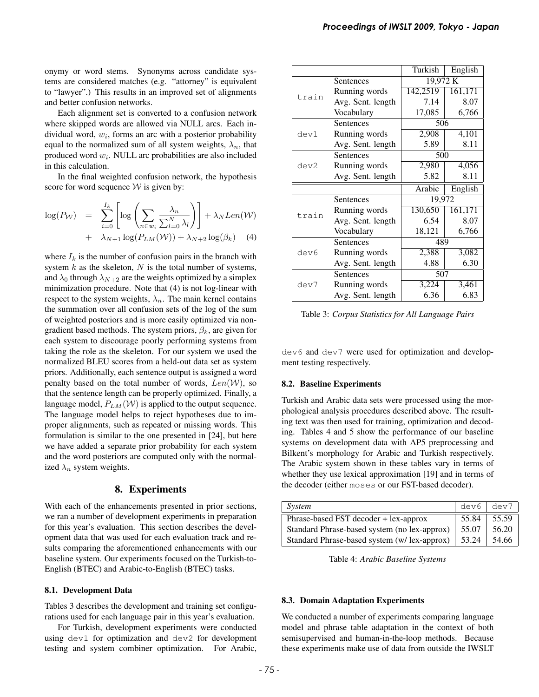onymy or word stems. Synonyms across candidate systems are considered matches (e.g. "attorney" is equivalent to "lawyer".) This results in an improved set of alignments and better confusion networks.

Each alignment set is converted to a confusion network where skipped words are allowed via NULL arcs. Each individual word,  $w_i$ , forms an arc with a posterior probability equal to the normalized sum of all system weights,  $\lambda_n$ , that produced word  $w_i$ . NULL arc probabilities are also included in this calculation.

In the final weighted confusion network, the hypothesis score for word sequence  $W$  is given by:

$$
\log(P_W) = \sum_{i=0}^{I_k} \left[ \log \left( \sum_{n \in w_i} \frac{\lambda_n}{\sum_{l=0}^N \lambda_l} \right) \right] + \lambda_N Len(W) + \lambda_{N+1} \log(P_{LM}(W)) + \lambda_{N+2} \log(\beta_k)
$$
 (4)

where  $I_k$  is the number of confusion pairs in the branch with system  $k$  as the skeleton,  $N$  is the total number of systems, and  $\lambda_0$  through  $\lambda_{N+2}$  are the weights optimized by a simplex minimization procedure. Note that (4) is not log-linear with respect to the system weights,  $\lambda_n$ . The main kernel contains the summation over all confusion sets of the log of the sum of weighted posteriors and is more easily optimized via nongradient based methods. The system priors,  $\beta_k$ , are given for each system to discourage poorly performing systems from taking the role as the skeleton. For our system we used the normalized BLEU scores from a held-out data set as system priors. Additionally, each sentence output is assigned a word penalty based on the total number of words,  $Len(\mathcal{W})$ , so that the sentence length can be properly optimized. Finally, a language model,  $P_{LM}(\mathcal{W})$  is applied to the output sequence. The language model helps to reject hypotheses due to improper alignments, such as repeated or missing words. This formulation is similar to the one presented in [24], but here we have added a separate prior probability for each system and the word posteriors are computed only with the normalized  $\lambda_n$  system weights.

### 8. Experiments

With each of the enhancements presented in prior sections, we ran a number of development experiments in preparation for this year's evaluation. This section describes the development data that was used for each evaluation track and results comparing the aforementioned enhancements with our baseline system. Our experiments focused on the Turkish-to-English (BTEC) and Arabic-to-English (BTEC) tasks.

#### 8.1. Development Data

Tables 3 describes the development and training set configurations used for each language pair in this year's evaluation.

For Turkish, development experiments were conducted using dev1 for optimization and dev2 for development testing and system combiner optimization. For Arabic,

|       |                   | Turkish  | English  |
|-------|-------------------|----------|----------|
|       | Sentences         |          | 19,972 K |
|       | Running words     | 142,2519 | 161,171  |
| train | Avg. Sent. length | 7.14     | 8.07     |
|       | Vocabulary        | 17,085   | 6,766    |
|       | Sentences         | 506      |          |
| dev1  | Running words     | 2,908    | 4,101    |
|       | Avg. Sent. length | 5.89     | 8.11     |
|       | Sentences         | 500      |          |
| dev2  | Running words     | 2,980    | 4,056    |
|       | Avg. Sent. length | 5.82     | 8.11     |
|       |                   | Arabic   | English  |
|       | Sentences         | 19,972   |          |
|       | Running words     | 130,650  | 161,171  |
| train | Avg. Sent. length | 6.54     | 8.07     |
|       | Vocabulary        | 18,121   | 6,766    |
|       | Sentences         | 489      |          |
| dev6  | Running words     | 2,388    | 3,082    |
|       | Avg. Sent. length | 4.88     | 6.30     |
|       | Sentences         | 507      |          |
| dev7  | Running words     | 3,224    | 3,461    |
|       | Avg. Sent. length | 6.36     | 6.83     |

Table 3: *Corpus Statistics for All Language Pairs*

dev6 and dev7 were used for optimization and development testing respectively.

#### 8.2. Baseline Experiments

Turkish and Arabic data sets were processed using the morphological analysis procedures described above. The resulting text was then used for training, optimization and decoding. Tables 4 and 5 show the performance of our baseline systems on development data with AP5 preprocessing and Bilkent's morphology for Arabic and Turkish respectively. The Arabic system shown in these tables vary in terms of whether they use lexical approximation [19] and in terms of the decoder (either moses or our FST-based decoder).

| System                                       | dev6  | dev7  |
|----------------------------------------------|-------|-------|
| Phrase-based FST decoder + lex-approx        | 55.84 | 55.59 |
| Standard Phrase-based system (no lex-approx) | 55.07 | 56.20 |
| Standard Phrase-based system (w/ lex-approx) | 53.24 | 54.66 |

Table 4: *Arabic Baseline Systems*

### 8.3. Domain Adaptation Experiments

We conducted a number of experiments comparing language model and phrase table adaptation in the context of both semisupervised and human-in-the-loop methods. Because these experiments make use of data from outside the IWSLT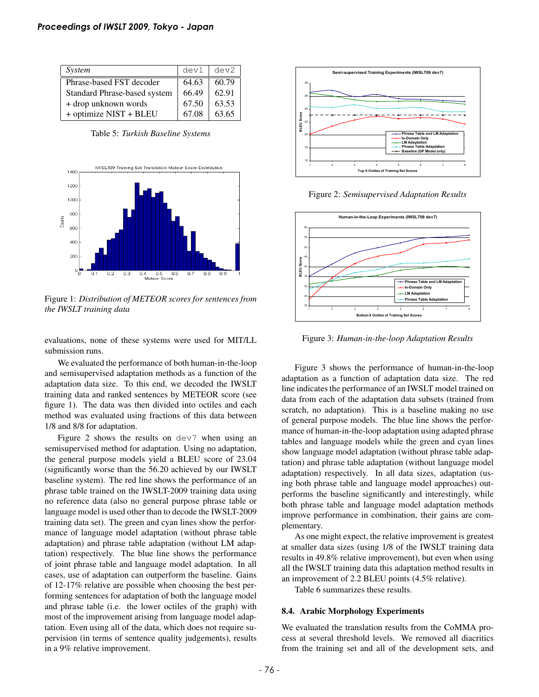| System                       | dev1  | dev2  |
|------------------------------|-------|-------|
| Phrase-based FST decoder     | 64.63 | 60.79 |
| Standard Phrase-based system | 66.49 | 62.91 |
| + drop unknown words         | 67.50 | 63.53 |
| + optimize NIST + BLEU       | 67.08 | 63.65 |

Table 5: *Turkish Baseline Systems*



Figure 1: *Distribution of METEOR scores for sentences from the IWSLT training data*

evaluations, none of these systems were used for MIT/LL submission runs.

We evaluated the performance of both human-in-the-loop and semisupervised adaptation methods as a function of the adaptation data size. To this end, we decoded the IWSLT training data and ranked sentences by METEOR score (see figure 1). The data was then divided into octiles and each method was evaluated using fractions of this data between 1/8 and 8/8 for adaptation.

Figure 2 shows the results on dev7 when using an semisupervised method for adaptation. Using no adaptation, the general purpose models yield a BLEU score of 23.04 (significantly worse than the 56.20 achieved by our IWSLT baseline system). The red line shows the performance of an phrase table trained on the IWSLT-2009 training data using no reference data (also no general purpose phrase table or language model is used other than to decode the IWSLT-2009 training data set). The green and cyan lines show the performance of language model adaptation (without phrase table adaptation) and phrase table adaptation (without LM adaptation) respectively. The blue line shows the performance of joint phrase table and language model adaptation. In all cases, use of adaptation can outperform the baseline. Gains of 12-17% relative are possible when choosing the best performing sentences for adaptation of both the language model and phrase table (i.e. the lower octiles of the graph) with most of the improvement arising from language model adaptation. Even using all of the data, which does not require supervision (in terms of sentence quality judgements), results in a 9% relative improvement.



Figure 2: *Semisupervised Adaptation Results*



Figure 3: *Human-in-the-loop Adaptation Results*

Figure 3 shows the performance of human-in-the-loop adaptation as a function of adaptation data size. The red line indicates the performance of an IWSLT model trained on data from each of the adaptation data subsets (trained from scratch, no adaptation). This is a baseline making no use of general purpose models. The blue line shows the performance of human-in-the-loop adaptation using adapted phrase tables and language models while the green and cyan lines show language model adaptation (without phrase table adaptation) and phrase table adaptation (without language model adaptation) respectively. In all data sizes, adaptation (using both phrase table and language model approaches) outperforms the baseline significantly and interestingly, while both phrase table and language model adaptation methods improve performance in combination, their gains are complementary.

As one might expect, the relative improvement is greatest at smaller data sizes (using 1/8 of the IWSLT training data results in 49.8% relative improvement), but even when using all the IWSLT training data this adaptation method results in an improvement of 2.2 BLEU points (4.5% relative).

Table 6 summarizes these results.

#### 8.4. Arabic Morphology Experiments

We evaluated the translation results from the CoMMA process at several threshold levels. We removed all diacritics from the training set and all of the development sets, and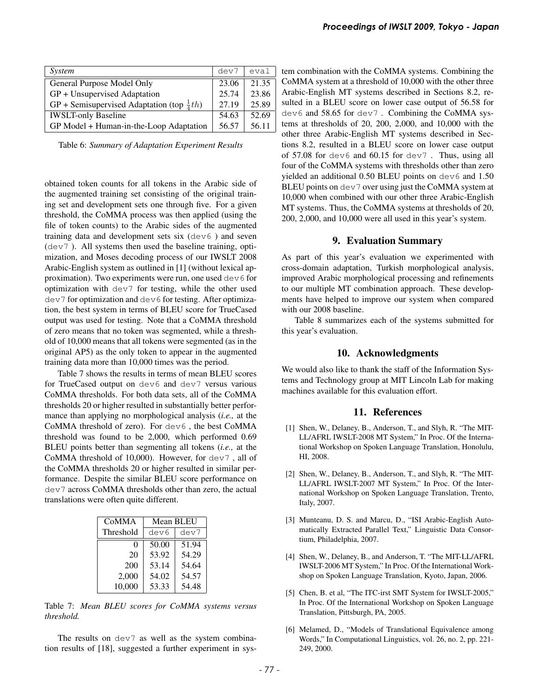| System                                                | dev7  | eval  |
|-------------------------------------------------------|-------|-------|
| General Purpose Model Only                            | 23.06 | 21.35 |
| GP + Unsupervised Adaptation                          | 25.74 | 23.86 |
| GP + Semisupervised Adaptation (top $\frac{1}{4}$ th) | 27.19 | 25.89 |
| <b>IWSLT-only Baseline</b>                            | 54.63 | 52.69 |
| GP Model + Human-in-the-Loop Adaptation               | 56.57 | 56.11 |

Table 6: *Summary of Adaptation Experiment Results*

obtained token counts for all tokens in the Arabic side of the augmented training set consisting of the original training set and development sets one through five. For a given threshold, the CoMMA process was then applied (using the file of token counts) to the Arabic sides of the augmented training data and development sets six (dev6 ) and seven (dev7 ). All systems then used the baseline training, optimization, and Moses decoding process of our IWSLT 2008 Arabic-English system as outlined in [1] (without lexical approximation). Two experiments were run, one used  $\text{dev6}$  for optimization with dev7 for testing, while the other used dev7 for optimization and dev6 for testing. After optimization, the best system in terms of BLEU score for TrueCased output was used for testing. Note that a CoMMA threshold of zero means that no token was segmented, while a threshold of 10,000 means that all tokens were segmented (as in the original AP5) as the only token to appear in the augmented training data more than 10,000 times was the period.

Table 7 shows the results in terms of mean BLEU scores for TrueCased output on dev6 and dev7 versus various CoMMA thresholds. For both data sets, all of the CoMMA thresholds 20 or higher resulted in substantially better performance than applying no morphological analysis (*i.e.,* at the CoMMA threshold of zero). For dev6 , the best CoMMA threshold was found to be 2,000, which performed 0.69 BLEU points better than segmenting all tokens (*i.e.,* at the CoMMA threshold of 10,000). However, for dev7 , all of the CoMMA thresholds 20 or higher resulted in similar performance. Despite the similar BLEU score performance on dev7 across CoMMA thresholds other than zero, the actual translations were often quite different.

| CoMMA     | Mean BLEU |       |
|-----------|-----------|-------|
| Threshold | dev6      | dev7  |
| $\Omega$  | 50.00     | 51.94 |
| 20        | 53.92     | 54.29 |
| 200       | 53.14     | 54.64 |
| 2,000     | 54.02     | 54.57 |
| 10,000    | 53.33     | 54.48 |

Table 7: *Mean BLEU scores for CoMMA systems versus threshold.*

The results on dev7 as well as the system combination results of [18], suggested a further experiment in system combination with the CoMMA systems. Combining the CoMMA system at a threshold of 10,000 with the other three Arabic-English MT systems described in Sections 8.2, resulted in a BLEU score on lower case output of 56.58 for dev6 and 58.65 for dev7 . Combining the CoMMA systems at thresholds of 20, 200, 2,000, and 10,000 with the other three Arabic-English MT systems described in Sections 8.2, resulted in a BLEU score on lower case output of  $57.08$  for dev6 and  $60.15$  for dev7. Thus, using all four of the CoMMA systems with thresholds other than zero yielded an additional  $0.50$  BLEU points on dev6 and  $1.50$ BLEU points on dev7 over using just the CoMMA system at 10,000 when combined with our other three Arabic-English MT systems. Thus, the CoMMA systems at thresholds of 20, 200, 2,000, and 10,000 were all used in this year's system.

### 9. Evaluation Summary

As part of this year's evaluation we experimented with cross-domain adaptation, Turkish morphological analysis, improved Arabic morphological processing and refinements to our multiple MT combination approach. These developments have helped to improve our system when compared with our 2008 baseline.

Table 8 summarizes each of the systems submitted for this year's evaluation.

### 10. Acknowledgments

We would also like to thank the staff of the Information Systems and Technology group at MIT Lincoln Lab for making machines available for this evaluation effort.

# 11. References

- [1] Shen, W., Delaney, B., Anderson, T., and Slyh, R. "The MIT-LL/AFRL IWSLT-2008 MT System," In Proc. Of the International Workshop on Spoken Language Translation, Honolulu, HI, 2008.
- [2] Shen, W., Delaney, B., Anderson, T., and Slyh, R. "The MIT-LL/AFRL IWSLT-2007 MT System," In Proc. Of the International Workshop on Spoken Language Translation, Trento, Italy, 2007.
- [3] Munteanu, D. S. and Marcu, D., "ISI Arabic-English Automatically Extracted Parallel Text," Linguistic Data Consortium, Philadelphia, 2007.
- [4] Shen, W., Delaney, B., and Anderson, T. "The MIT-LL/AFRL IWSLT-2006 MT System," In Proc. Of the International Workshop on Spoken Language Translation, Kyoto, Japan, 2006.
- [5] Chen, B. et al, "The ITC-irst SMT System for IWSLT-2005," In Proc. Of the International Workshop on Spoken Language Translation, Pittsburgh, PA, 2005.
- [6] Melamed, D., "Models of Translational Equivalence among Words," In Computational Linguistics, vol. 26, no. 2, pp. 221- 249, 2000.